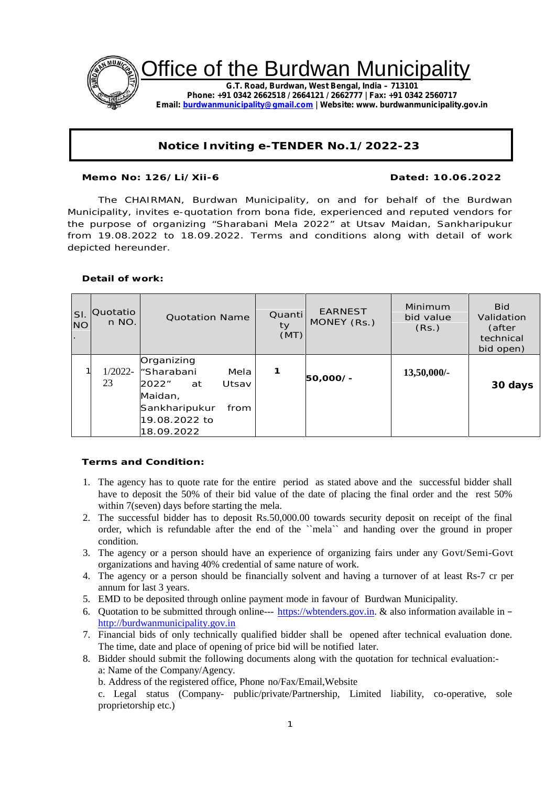

# **Notice Inviting e-TENDER No.1/2022-23**

**Memo No: 126/Li/Xii-6 Dated: 10.06.2022**

The CHAIRMAN, Burdwan Municipality, on and for behalf of the Burdwan Municipality, invites e-quotation from bona fide, experienced and reputed vendors for the purpose of organizing "Sharabani Mela 2022" at Utsav Maidan, Sankharipukur from 19.08.2022 to 18.09.2022. Terms and conditions along with detail of work depicted hereunder.

**Detail of work:**

| SI.<br><b>NO</b> | <b>Quotatio</b><br>n NO. | <b>Quotation Name</b>                                                                                                       | Quanti<br>ty<br>(MT) | <b>EARNEST</b><br>MONEY (Rs.) | Minimum<br>bid value<br>(Rs.) | <b>Bid</b><br>Validation<br>(after<br>technical<br>bid open) |
|------------------|--------------------------|-----------------------------------------------------------------------------------------------------------------------------|----------------------|-------------------------------|-------------------------------|--------------------------------------------------------------|
|                  | $1/2022 -$<br>23         | Organizing<br>"Sharabani<br>Mela<br>2022"<br>Utsav<br>at<br>Maidan,<br>Sankharipukur<br>from<br>19.08.2022 to<br>18.09.2022 | 1                    | 50,000/-                      | $13,50,000/$ -                | 30 days                                                      |

**Terms and Condition:**

- 1. The agency has to quote rate for the entire period as stated above and the successful bidder shall have to deposit the 50% of their bid value of the date of placing the final order and the rest 50% within 7(seven) days before starting the mela.
- 2. The successful bidder has to deposit Rs.50,000.00 towards security deposit on receipt of the final order, which is refundable after the end of the ``mela`` and handing over the ground in proper condition.
- 3. The agency or a person should have an experience of organizing fairs under any Govt/Semi-Govt organizations and having 40% credential of same nature of work.
- 4. The agency or a person should be financially solvent and having a turnover of at least Rs-7 cr per annum for last 3 years.
- 5. EMD to be deposited through online payment mode in favour of Burdwan Municipality.
- 6. Quotation to be submitted through online--- https://wbtenders.gov.in.  $\&$  also information available in http://burdwanmunicipality.gov.in
- 7. Financial bids of only technically qualified bidder shall be opened after technical evaluation done. The time, date and place of opening of price bid will be notified later.
- 8. Bidder should submit the following documents along with the quotation for technical evaluation: a: Name of the Company/Agency.
	- b. Address of the registered office, Phone no/Fax/Email,Website

c. Legal status (Company- public/private/Partnership, Limited liability, co-operative, sole proprietorship etc.)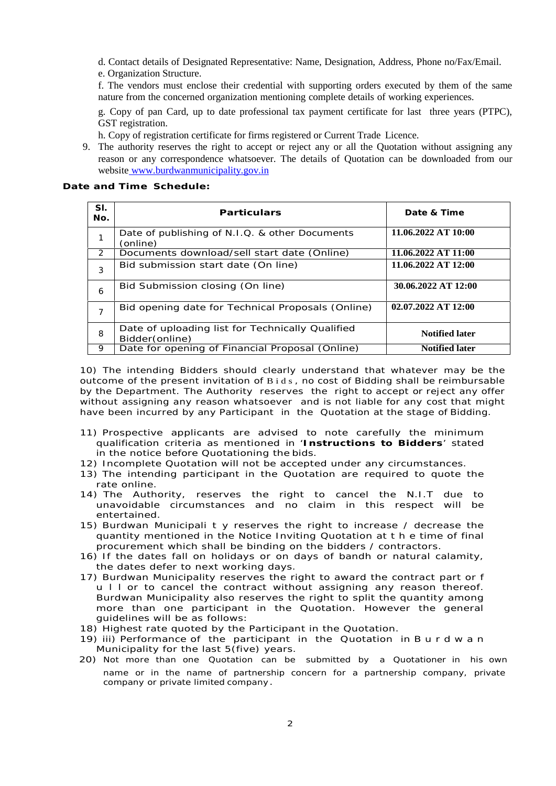d. Contact details of Designated Representative: Name, Designation, Address, Phone no/Fax/Email. e. Organization Structure.

f. The vendors must enclose their credential with supporting orders executed by them of the same nature from the concerned organization mentioning complete details of working experiences.

g. Copy of pan Card, up to date professional tax payment certificate for last three years (PTPC), GST registration.

h. Copy of registration certificate for firms registered or Current Trade Licence.

9. The authority reserves the right to accept or reject any or all the Quotation without assigning any reason or any correspondence whatsoever. The details of Quotation can be downloaded from our website www.burdwanmunicipality.gov.in

**Date and Time Schedule:**

| SI.<br>No.     | Particulars                                                                                  | Date & Time           |
|----------------|----------------------------------------------------------------------------------------------|-----------------------|
| 1              | Date of publishing of N.I.Q. & other Documents<br>(online)                                   | 11.06.2022 AT 10:00   |
| 2              | Documents download/sell start date (Online)                                                  | 11.06.2022 AT 11:00   |
| 3              | Bid submission start date (On line)                                                          | 11.06.2022 AT 12:00   |
| 6              | Bid Submission closing (On line)                                                             | 30.06.2022 AT 12:00   |
| $\overline{7}$ | Bid opening date for Technical Proposals (Online)                                            | 02.07.2022 AT 12:00   |
| 8              | Date of uploading list for Technically Qualified<br><b>Notified later</b><br>Bidder (online) |                       |
| 9              | Date for opening of Financial Proposal (Online)                                              | <b>Notified later</b> |

10) The intending Bidders should clearly understand that whatever may be the outcome of the present invitation of B i d s , no cost of Bidding shall be reimbursable by the Department. The Authority reserves the right to accept or reject any offer without assigning any reason whatsoever and is not liable for any cost that might have been incurred by any Participant in the Quotation at the stage of Bidding.

- 11) Prospective applicants are advised to note carefully the minimum qualification criteria as mentioned in '**Instructions to Bidders**' stated in the notice before Quotationing the bids.
- 12) Incomplete Quotation will not be accepted under any circumstances.
- 13) The intending participant in the Quotation are required to quote the rate online.
- 14) The Authority, reserves the right to cancel the N.I.T due to unavoidable circumstances and no claim in this respect will be entertained.
- 15) Burdwan Municipali t y reserves the right to increase / decrease the quantity mentioned in the Notice Inviting Quotation at t h e time of final procurement which shall be binding on the bidders / contractors.
- 16) If the dates fall on holidays or on days of bandh or natural calamity, the dates defer to next working days.
- 17) Burdwan Municipality reserves the right to award the contract part or f u l l or to cancel the contract without assigning any reason thereof. Burdwan Municipality also reserves the right to split the quantity among more than one participant in the Quotation. However the general guidelines will be as follows:
- 18) Highest rate quoted by the Participant in the Quotation.
- 19) iii) Performance of the participant in the Quotation in B u r d w a n Municipality for the last 5(five) years.
- 20) Not more than one Quotation can be submitted by a Quotationer in his own name or in the name of partnership concern for a partnership company, private company or private limited company.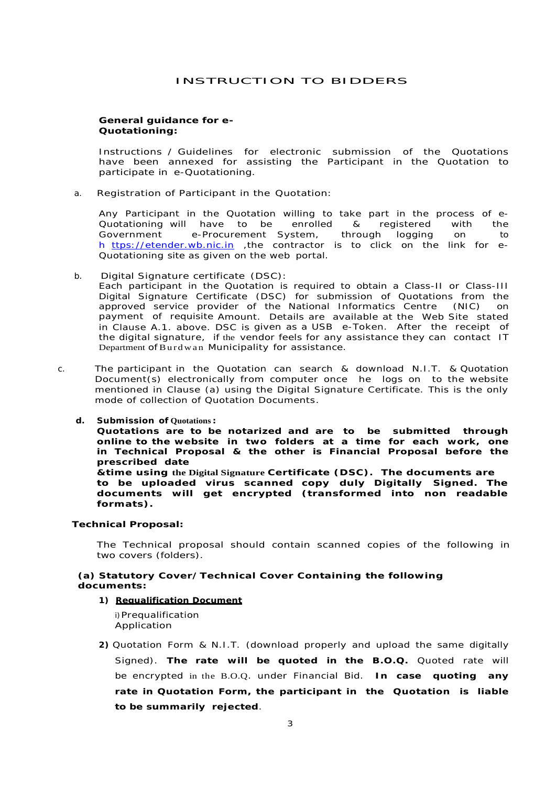# INSTRUCTION TO BIDDERS

**General guidance for e- Quotationing:**

Instructions / Guidelines for electronic submission of the Quotations have been annexed for assisting the Participant in the Quotation to participate in e-Quotationing.

a. Registration of Participant in the Quotation:

Any Participant in the Quotation willing to take part in the process of e- Quotationing will have to be enrolled & registered with the Government e-Procurement System, through logging on to h ttps://etender.wb.nic.in ,the contractor is to click on the link for e- Quotationing site as given on the web portal.

- b. Digital Signature certificate (DSC): Each participant in the Quotation is required to obtain a Class-II or Class-III Digital Signature Certificate (DSC) for submission of Quotations from the approved service provider of the National Informatics Centre (NIC) on payment of requisite Amount. Details are available at the Web Site stated in Clause A.1. above. DSC is given as a USB e-Token. After the receipt of the digital signature, if the vendor feels for any assistance they can contact IT Department of Burdwan Municipality for assistance.
- c. The participant in the Quotation can search & download N.I.T. & Quotation Document(s) electronically from computer once he logs on to the website mentioned in Clause (a) using the Digital Signature Certificate. This is the only mode of collection of Quotation Documents.
	- **d. Submission of Quotations : Quotations are to be notarized and are to be submitted through online to the website in two folders at a time for each work, one in Technical Proposal & the other is Financial Proposal before the prescribed date &time using the Digital Signature Certificate (DSC). The documents are to be uploaded virus scanned copy duly Digitally Signed. The documents will get encrypted (transformed into non readable formats).**

**Technical Proposal:**

The Technical proposal should contain scanned copies of the following in two covers (folders).

**(a) Statutory Cover/Technical Cover Containing the following documents:**

**1) Requalification Document**

i)Prequalification Application

**2)** Quotation Form & N.I.T. *(download properly and upload the same digitally Signed).* **The rate will be quoted in the B.O.Q.** Quoted rate will be encrypted in the B.O.Q. under Financial Bid. **In case quoting any rate in Quotation Form, the participant in the Quotation is liable to be summarily rejected**.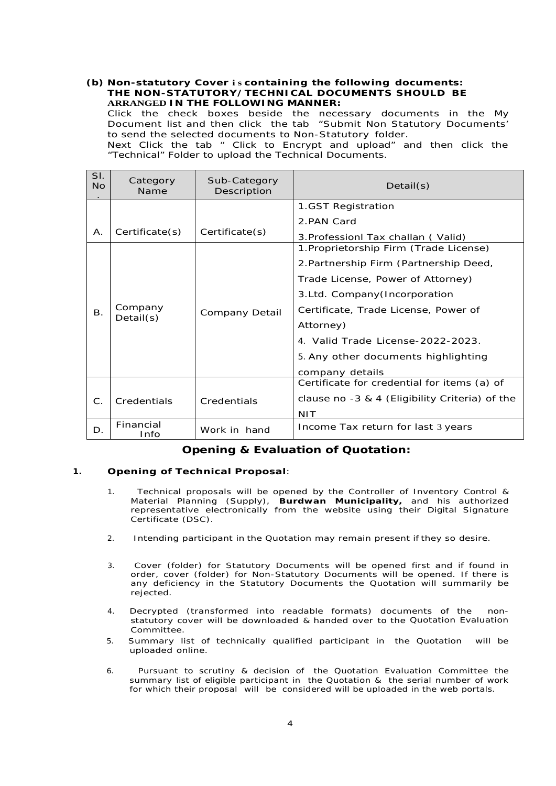# **(b) Non-statutory Cover i s containing the following documents: THE NON-STATUTORY/TECHNICAL DOCUMENTS SHOULD BE ARRANGED IN THE FOLLOWING MANNER:**

Click the check boxes beside the necessary documents in the My Document list and then click the tab "Submit Non Statutory Documents' to send the selected documents to Non-Statutory folder.

Next Click the tab " Click to Encrypt and upload" and then click the "Technical" Folder to upload the Technical Documents.

| SI.<br><b>No</b> | Category<br>Name      | Sub-Category<br>Description | Details(s)                                     |  |
|------------------|-----------------------|-----------------------------|------------------------------------------------|--|
|                  |                       |                             | 1.GST Registration                             |  |
|                  |                       |                             | 2.PAN Card                                     |  |
| Α.               | Certificate(s)        | Certificate(s)              | 3. Professionl Tax challan (Valid)             |  |
|                  |                       | Company Detail              | 1. Proprietorship Firm (Trade License)         |  |
|                  | Company<br>Details(s) |                             | 2. Partnership Firm (Partnership Deed,         |  |
|                  |                       |                             | Trade License, Power of Attorney)              |  |
|                  |                       |                             | 3.Ltd. Company(Incorporation                   |  |
| $\mathsf{B}$ .   |                       |                             | Certificate, Trade License, Power of           |  |
|                  |                       |                             | Attorney)                                      |  |
|                  |                       |                             | 4. Valid Trade License-2022-2023.              |  |
|                  |                       |                             | 5. Any other documents highlighting            |  |
|                  |                       |                             | company details                                |  |
|                  | Credentials           | Credentials                 | Certificate for credential for items (a) of    |  |
| $\mathsf{C}.$    |                       |                             | clause no -3 & 4 (Eligibility Criteria) of the |  |
|                  |                       |                             | <b>NIT</b>                                     |  |
| D.               | Financial<br>Info     | Work in hand                | Income Tax return for last 3 years             |  |

# **Opening & Evaluation of Quotation:**

# **1. Opening of Technical Proposal**:

- 1. Technical proposals will be opened by the Controller of Inventory Control & Material Planning (Supply), **Burdwan Municipality,** and his authorized representative electronically from the website using their Digital Signature Certificate (DSC).
- 2. Intending participant in the Quotation may remain present if they so desire.
- 3. Cover (folder) for Statutory Documents will be opened first and if found in order, cover (folder) for Non-Statutory Documents will be opened. If there is any deficiency in the Statutory Documents the Quotation will summarily be rejected.
- 4. Decrypted (transformed into readable formats) documents of the non statutory cover will be downloaded & handed over to the Quotation Evaluation Committee.
- 5. Summary list of technically qualified participant in the Quotation will be uploaded online.
- 6. Pursuant to scrutiny & decision of the Quotation Evaluation Committee the summary list of eligible participant in the Quotation & the serial number of work for which their proposal will be considered will be uploaded in the web portals.